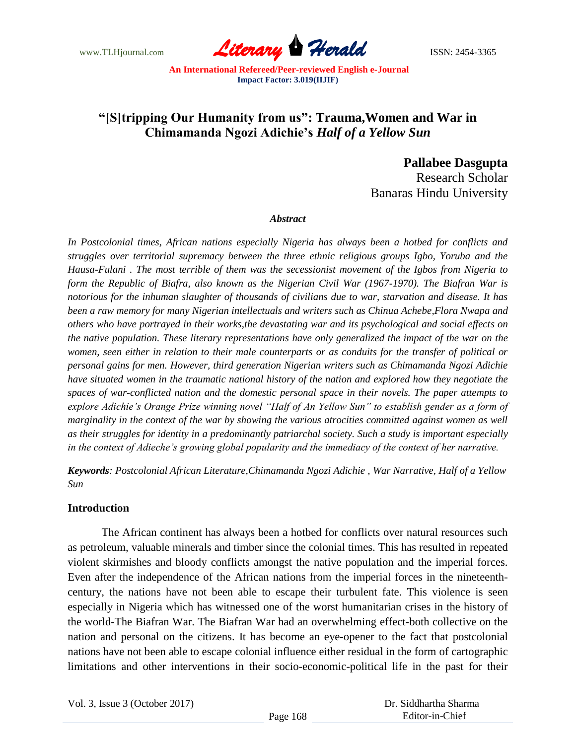www.TLHjournal.com **Literary Herald ISSN: 2454-3365** 

# **"[S]tripping Our Humanity from us": Trauma,Women and War in Chimamanda Ngozi Adichie's** *Half of a Yellow Sun*

**Pallabee Dasgupta** 

Research Scholar Banaras Hindu University

### *Abstract*

*In Postcolonial times, African nations especially Nigeria has always been a hotbed for conflicts and struggles over territorial supremacy between the three ethnic religious groups Igbo, Yoruba and the Hausa-Fulani . The most terrible of them was the secessionist movement of the Igbos from Nigeria to form the Republic of Biafra, also known as the Nigerian Civil War (1967-1970). The Biafran War is notorious for the inhuman slaughter of thousands of civilians due to war, starvation and disease. It has been a raw memory for many Nigerian intellectuals and writers such as Chinua Achebe,Flora Nwapa and others who have portrayed in their works,the devastating war and its psychological and social effects on the native population. These literary representations have only generalized the impact of the war on the women, seen either in relation to their male counterparts or as conduits for the transfer of political or personal gains for men. However, third generation Nigerian writers such as Chimamanda Ngozi Adichie have situated women in the traumatic national history of the nation and explored how they negotiate the spaces of war-conflicted nation and the domestic personal space in their novels. The paper attempts to explore Adichie's Orange Prize winning novel "Half of An Yellow Sun" to establish gender as a form of marginality in the context of the war by showing the various atrocities committed against women as well as their struggles for identity in a predominantly patriarchal society. Such a study is important especially in the context of Adieche's growing global popularity and the immediacy of the context of her narrative.* 

*Keywords: Postcolonial African Literature,Chimamanda Ngozi Adichie , War Narrative, Half of a Yellow Sun*

### **Introduction**

The African continent has always been a hotbed for conflicts over natural resources such as petroleum, valuable minerals and timber since the colonial times. This has resulted in repeated violent skirmishes and bloody conflicts amongst the native population and the imperial forces. Even after the independence of the African nations from the imperial forces in the nineteenthcentury, the nations have not been able to escape their turbulent fate. This violence is seen especially in Nigeria which has witnessed one of the worst humanitarian crises in the history of the world-The Biafran War. The Biafran War had an overwhelming effect-both collective on the nation and personal on the citizens. It has become an eye-opener to the fact that postcolonial nations have not been able to escape colonial influence either residual in the form of cartographic limitations and other interventions in their socio-economic-political life in the past for their

Vol. 3, Issue 3 (October 2017)

 Dr. Siddhartha Sharma Editor-in-Chief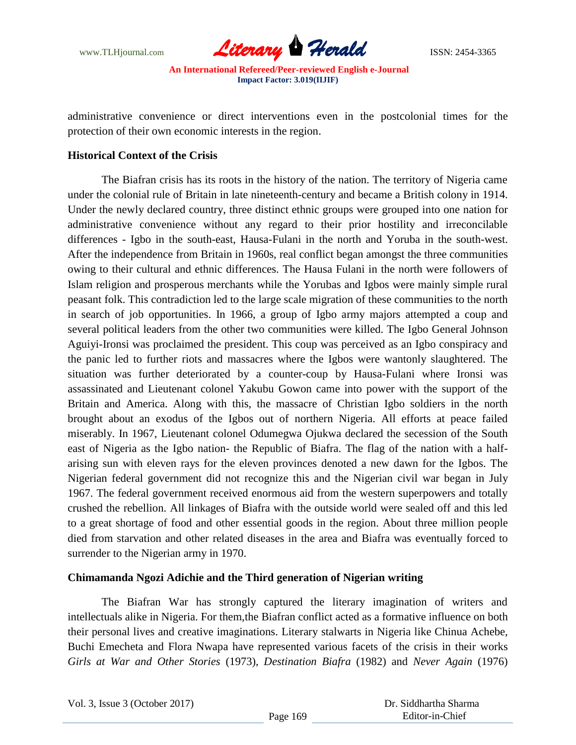

administrative convenience or direct interventions even in the postcolonial times for the protection of their own economic interests in the region.

## **Historical Context of the Crisis**

The Biafran crisis has its roots in the history of the nation. The territory of Nigeria came under the colonial rule of Britain in late nineteenth-century and became a British colony in 1914. Under the newly declared country, three distinct ethnic groups were grouped into one nation for administrative convenience without any regard to their prior hostility and irreconcilable differences - Igbo in the south-east, Hausa-Fulani in the north and Yoruba in the south-west. After the independence from Britain in 1960s, real conflict began amongst the three communities owing to their cultural and ethnic differences. The Hausa Fulani in the north were followers of Islam religion and prosperous merchants while the Yorubas and Igbos were mainly simple rural peasant folk. This contradiction led to the large scale migration of these communities to the north in search of job opportunities. In 1966, a group of Igbo army majors attempted a coup and several political leaders from the other two communities were killed. The Igbo General Johnson Aguiyi-Ironsi was proclaimed the president. This coup was perceived as an Igbo conspiracy and the panic led to further riots and massacres where the Igbos were wantonly slaughtered. The situation was further deteriorated by a counter-coup by Hausa-Fulani where Ironsi was assassinated and Lieutenant colonel Yakubu Gowon came into power with the support of the Britain and America. Along with this, the massacre of Christian Igbo soldiers in the north brought about an exodus of the Igbos out of northern Nigeria. All efforts at peace failed miserably. In 1967, Lieutenant colonel Odumegwa Ojukwa declared the secession of the South east of Nigeria as the Igbo nation- the Republic of Biafra. The flag of the nation with a halfarising sun with eleven rays for the eleven provinces denoted a new dawn for the Igbos. The Nigerian federal government did not recognize this and the Nigerian civil war began in July 1967. The federal government received enormous aid from the western superpowers and totally crushed the rebellion. All linkages of Biafra with the outside world were sealed off and this led to a great shortage of food and other essential goods in the region. About three million people died from starvation and other related diseases in the area and Biafra was eventually forced to surrender to the Nigerian army in 1970.

## **Chimamanda Ngozi Adichie and the Third generation of Nigerian writing**

The Biafran War has strongly captured the literary imagination of writers and intellectuals alike in Nigeria. For them,the Biafran conflict acted as a formative influence on both their personal lives and creative imaginations. Literary stalwarts in Nigeria like Chinua Achebe, Buchi Emecheta and Flora Nwapa have represented various facets of the crisis in their works *Girls at War and Other Stories* (1973), *Destination Biafra* (1982) and *Never Again* (1976)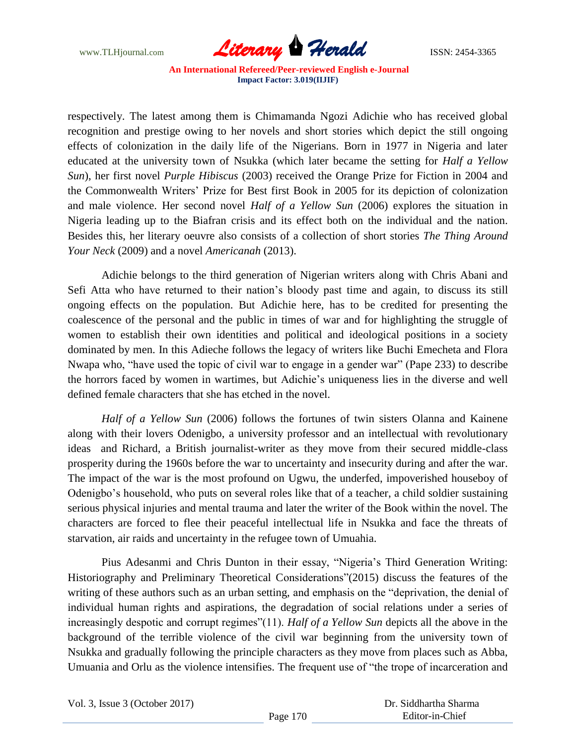

respectively. The latest among them is Chimamanda Ngozi Adichie who has received global recognition and prestige owing to her novels and short stories which depict the still ongoing effects of colonization in the daily life of the Nigerians. Born in 1977 in Nigeria and later educated at the university town of Nsukka (which later became the setting for *Half a Yellow Sun*), her first novel *Purple Hibiscus* (2003) received the Orange Prize for Fiction in 2004 and the Commonwealth Writers" Prize for Best first Book in 2005 for its depiction of colonization and male violence. Her second novel *Half of a Yellow Sun* (2006) explores the situation in Nigeria leading up to the Biafran crisis and its effect both on the individual and the nation. Besides this, her literary oeuvre also consists of a collection of short stories *The Thing Around Your Neck* (2009) and a novel *Americanah* (2013).

Adichie belongs to the third generation of Nigerian writers along with Chris Abani and Sefi Atta who have returned to their nation's bloody past time and again, to discuss its still ongoing effects on the population. But Adichie here, has to be credited for presenting the coalescence of the personal and the public in times of war and for highlighting the struggle of women to establish their own identities and political and ideological positions in a society dominated by men. In this Adieche follows the legacy of writers like Buchi Emecheta and Flora Nwapa who, "have used the topic of civil war to engage in a gender war" (Pape 233) to describe the horrors faced by women in wartimes, but Adichie"s uniqueness lies in the diverse and well defined female characters that she has etched in the novel.

*Half of a Yellow Sun* (2006) follows the fortunes of twin sisters Olanna and Kainene along with their lovers Odenigbo, a university professor and an intellectual with revolutionary ideas and Richard, a British journalist-writer as they move from their secured middle-class prosperity during the 1960s before the war to uncertainty and insecurity during and after the war. The impact of the war is the most profound on Ugwu, the underfed, impoverished houseboy of Odenigbo"s household, who puts on several roles like that of a teacher, a child soldier sustaining serious physical injuries and mental trauma and later the writer of the Book within the novel. The characters are forced to flee their peaceful intellectual life in Nsukka and face the threats of starvation, air raids and uncertainty in the refugee town of Umuahia.

Pius Adesanmi and Chris Dunton in their essay, "Nigeria"s Third Generation Writing: Historiography and Preliminary Theoretical Considerations"(2015) discuss the features of the writing of these authors such as an urban setting, and emphasis on the "deprivation, the denial of individual human rights and aspirations, the degradation of social relations under a series of increasingly despotic and corrupt regimes"(11). *Half of a Yellow Sun* depicts all the above in the background of the terrible violence of the civil war beginning from the university town of Nsukka and gradually following the principle characters as they move from places such as Abba, Umuania and Orlu as the violence intensifies. The frequent use of "the trope of incarceration and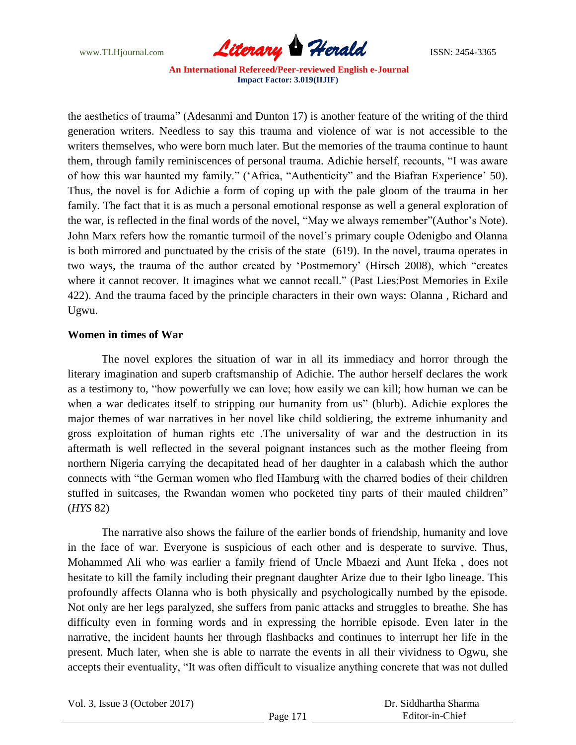

the aesthetics of trauma" (Adesanmi and Dunton 17) is another feature of the writing of the third generation writers. Needless to say this trauma and violence of war is not accessible to the writers themselves, who were born much later. But the memories of the trauma continue to haunt them, through family reminiscences of personal trauma. Adichie herself, recounts, "I was aware of how this war haunted my family." ("Africa, "Authenticity" and the Biafran Experience" 50). Thus, the novel is for Adichie a form of coping up with the pale gloom of the trauma in her family. The fact that it is as much a personal emotional response as well a general exploration of the war, is reflected in the final words of the novel, "May we always remember" (Author's Note). John Marx refers how the romantic turmoil of the novel"s primary couple Odenigbo and Olanna is both mirrored and punctuated by the crisis of the state (619). In the novel, trauma operates in two ways, the trauma of the author created by "Postmemory" (Hirsch 2008), which "creates where it cannot recover. It imagines what we cannot recall." (Past Lies:Post Memories in Exile 422). And the trauma faced by the principle characters in their own ways: Olanna , Richard and Ugwu.

# **Women in times of War**

The novel explores the situation of war in all its immediacy and horror through the literary imagination and superb craftsmanship of Adichie. The author herself declares the work as a testimony to, "how powerfully we can love; how easily we can kill; how human we can be when a war dedicates itself to stripping our humanity from us" (blurb). Adichie explores the major themes of war narratives in her novel like child soldiering, the extreme inhumanity and gross exploitation of human rights etc .The universality of war and the destruction in its aftermath is well reflected in the several poignant instances such as the mother fleeing from northern Nigeria carrying the decapitated head of her daughter in a calabash which the author connects with "the German women who fled Hamburg with the charred bodies of their children stuffed in suitcases, the Rwandan women who pocketed tiny parts of their mauled children" (*HYS* 82)

The narrative also shows the failure of the earlier bonds of friendship, humanity and love in the face of war. Everyone is suspicious of each other and is desperate to survive. Thus, Mohammed Ali who was earlier a family friend of Uncle Mbaezi and Aunt Ifeka , does not hesitate to kill the family including their pregnant daughter Arize due to their Igbo lineage. This profoundly affects Olanna who is both physically and psychologically numbed by the episode. Not only are her legs paralyzed, she suffers from panic attacks and struggles to breathe. She has difficulty even in forming words and in expressing the horrible episode. Even later in the narrative, the incident haunts her through flashbacks and continues to interrupt her life in the present. Much later, when she is able to narrate the events in all their vividness to Ogwu, she accepts their eventuality, "It was often difficult to visualize anything concrete that was not dulled

Vol. 3, Issue 3 (October 2017)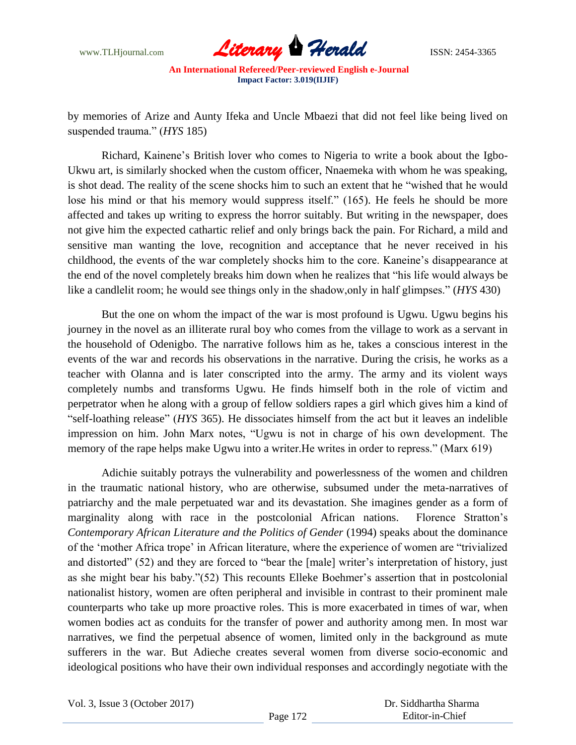

by memories of Arize and Aunty Ifeka and Uncle Mbaezi that did not feel like being lived on suspended trauma." (*HYS* 185)

Richard, Kainene"s British lover who comes to Nigeria to write a book about the Igbo-Ukwu art, is similarly shocked when the custom officer, Nnaemeka with whom he was speaking, is shot dead. The reality of the scene shocks him to such an extent that he "wished that he would lose his mind or that his memory would suppress itself." (165). He feels he should be more affected and takes up writing to express the horror suitably. But writing in the newspaper, does not give him the expected cathartic relief and only brings back the pain. For Richard, a mild and sensitive man wanting the love, recognition and acceptance that he never received in his childhood, the events of the war completely shocks him to the core. Kaneine"s disappearance at the end of the novel completely breaks him down when he realizes that "his life would always be like a candlelit room; he would see things only in the shadow,only in half glimpses." (*HYS* 430)

But the one on whom the impact of the war is most profound is Ugwu. Ugwu begins his journey in the novel as an illiterate rural boy who comes from the village to work as a servant in the household of Odenigbo. The narrative follows him as he, takes a conscious interest in the events of the war and records his observations in the narrative. During the crisis, he works as a teacher with Olanna and is later conscripted into the army. The army and its violent ways completely numbs and transforms Ugwu. He finds himself both in the role of victim and perpetrator when he along with a group of fellow soldiers rapes a girl which gives him a kind of "self-loathing release" (*HYS* 365). He dissociates himself from the act but it leaves an indelible impression on him. John Marx notes, "Ugwu is not in charge of his own development. The memory of the rape helps make Ugwu into a writer.He writes in order to repress." (Marx 619)

Adichie suitably potrays the vulnerability and powerlessness of the women and children in the traumatic national history, who are otherwise, subsumed under the meta-narratives of patriarchy and the male perpetuated war and its devastation. She imagines gender as a form of marginality along with race in the postcolonial African nations. Florence Stratton"s *Contemporary African Literature and the Politics of Gender* (1994) speaks about the dominance of the "mother Africa trope" in African literature, where the experience of women are "trivialized and distorted" (52) and they are forced to "bear the [male] writer's interpretation of history, just as she might bear his baby."(52) This recounts Elleke Boehmer's assertion that in postcolonial nationalist history, women are often peripheral and invisible in contrast to their prominent male counterparts who take up more proactive roles. This is more exacerbated in times of war, when women bodies act as conduits for the transfer of power and authority among men. In most war narratives, we find the perpetual absence of women, limited only in the background as mute sufferers in the war. But Adieche creates several women from diverse socio-economic and ideological positions who have their own individual responses and accordingly negotiate with the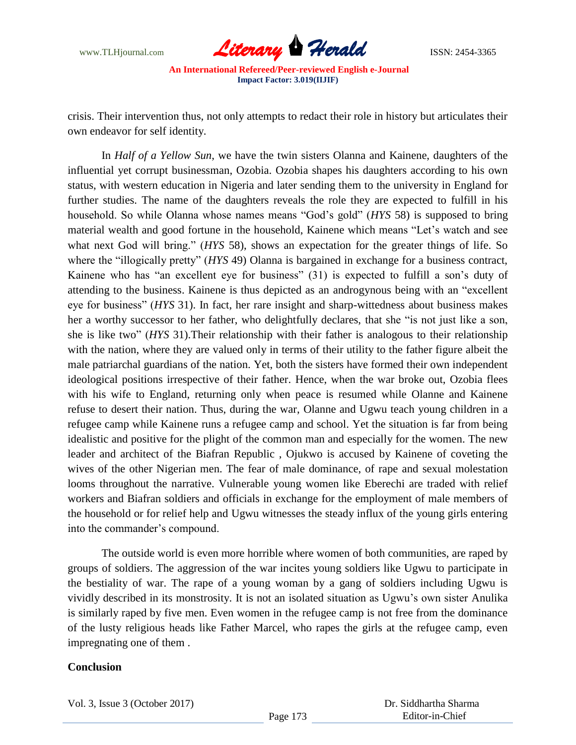

crisis. Their intervention thus, not only attempts to redact their role in history but articulates their own endeavor for self identity.

In *Half of a Yellow Sun*, we have the twin sisters Olanna and Kainene, daughters of the influential yet corrupt businessman, Ozobia. Ozobia shapes his daughters according to his own status, with western education in Nigeria and later sending them to the university in England for further studies. The name of the daughters reveals the role they are expected to fulfill in his household. So while Olanna whose names means "God"s gold" (*HYS* 58) is supposed to bring material wealth and good fortune in the household, Kainene which means "Let"s watch and see what next God will bring." (*HYS* 58), shows an expectation for the greater things of life. So where the "illogically pretty" (*HYS* 49) Olanna is bargained in exchange for a business contract, Kainene who has "an excellent eye for business" (31) is expected to fulfill a son"s duty of attending to the business. Kainene is thus depicted as an androgynous being with an "excellent eye for business" (*HYS* 31). In fact, her rare insight and sharp-wittedness about business makes her a worthy successor to her father, who delightfully declares, that she "is not just like a son, she is like two" (*HYS* 31).Their relationship with their father is analogous to their relationship with the nation, where they are valued only in terms of their utility to the father figure albeit the male patriarchal guardians of the nation. Yet, both the sisters have formed their own independent ideological positions irrespective of their father. Hence, when the war broke out, Ozobia flees with his wife to England, returning only when peace is resumed while Olanne and Kainene refuse to desert their nation. Thus, during the war, Olanne and Ugwu teach young children in a refugee camp while Kainene runs a refugee camp and school. Yet the situation is far from being idealistic and positive for the plight of the common man and especially for the women. The new leader and architect of the Biafran Republic , Ojukwo is accused by Kainene of coveting the wives of the other Nigerian men. The fear of male dominance, of rape and sexual molestation looms throughout the narrative. Vulnerable young women like Eberechi are traded with relief workers and Biafran soldiers and officials in exchange for the employment of male members of the household or for relief help and Ugwu witnesses the steady influx of the young girls entering into the commander's compound.

The outside world is even more horrible where women of both communities, are raped by groups of soldiers. The aggression of the war incites young soldiers like Ugwu to participate in the bestiality of war. The rape of a young woman by a gang of soldiers including Ugwu is vividly described in its monstrosity. It is not an isolated situation as Ugwu"s own sister Anulika is similarly raped by five men. Even women in the refugee camp is not free from the dominance of the lusty religious heads like Father Marcel, who rapes the girls at the refugee camp, even impregnating one of them .

## **Conclusion**